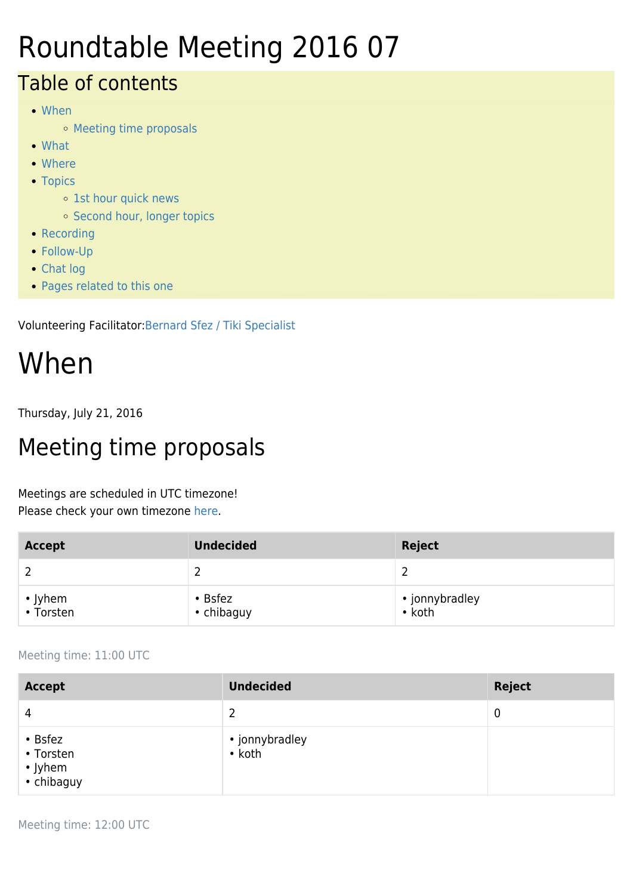## Roundtable Meeting 2016 07

#### Table of contents

- [When](#page--1-0)
	- [Meeting time proposals](#page--1-0)
- [What](#page--1-0)
- [Where](#page--1-0)
- [Topics](#page--1-0)
	- <sup>o</sup> [1st hour quick news](#page--1-0)
	- <sup>o</sup> [Second hour, longer topics](#page--1-0)
- [Recording](#page--1-0)
- [Follow-Up](#page--1-0)
- [Chat log](#page--1-0)
- [Pages related to this one](#page--1-0)

Volunteering Facilitator:[Bernard Sfez / Tiki Specialist](https://tiki.org/user1974)

# When

Thursday, July 21, 2016

### Meeting time proposals

Meetings are scheduled in UTC timezone! Please check your own timezone [here](http://www.timeanddate.com/worldclock/meetingtime.html?iso=20160721&p1=165&p2=136&p3=195&p4=37&p5=204&p6=110&p7=176&p8=248).

| <b>Accept</b>        | <b>Undecided</b>            | Reject                           |
|----------------------|-----------------------------|----------------------------------|
|                      | ∸                           | ∸                                |
| • Jyhem<br>• Torsten | $\cdot$ Bsfez<br>• chibaguy | • jonnybradley<br>$\bullet$ koth |

Meeting time: 11:00 UTC

| <b>Accept</b>                                             | <b>Undecided</b>         | <b>Reject</b> |
|-----------------------------------------------------------|--------------------------|---------------|
| $\overline{4}$                                            | 2                        | 0             |
| $\cdot$ Bsfez<br>• Torsten<br>$\cdot$ Jyhem<br>• chibaguy | • jonnybradley<br>• koth |               |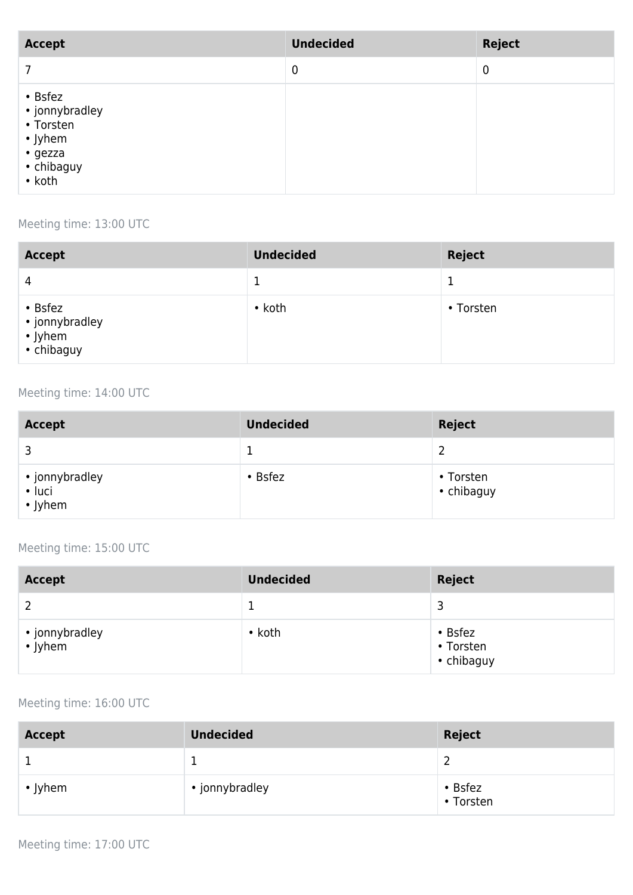| <b>Accept</b>                                                                        | <b>Undecided</b> | <b>Reject</b> |
|--------------------------------------------------------------------------------------|------------------|---------------|
|                                                                                      | $\boldsymbol{0}$ | $\mathbf 0$   |
| • Bsfez<br>• jonnybradley<br>• Torsten<br>• Jyhem<br>• gezza<br>• chibaguy<br>• koth |                  |               |

#### Meeting time: 13:00 UTC

| <b>Accept</b>                                            | <b>Undecided</b> | <b>Reject</b> |
|----------------------------------------------------------|------------------|---------------|
| 4                                                        | ᅩ                |               |
| • Bsfez<br>• jonnybradley<br>$\cdot$ Jyhem<br>• chibaguy | $\cdot$ koth     | • Torsten     |

#### Meeting time: 14:00 UTC

| <b>Accept</b>                       | <b>Undecided</b> | <b>Reject</b>           |
|-------------------------------------|------------------|-------------------------|
|                                     |                  |                         |
| • jonnybradley<br>• luci<br>• Jyhem | $\cdot$ Bsfez    | • Torsten<br>• chibaguy |

#### Meeting time: 15:00 UTC

| <b>Accept</b>             | <b>Undecided</b> | <b>Reject</b>                            |
|---------------------------|------------------|------------------------------------------|
|                           |                  | ∍                                        |
| • jonnybradley<br>• Jyhem | $\cdot$ koth     | $\cdot$ Bsfez<br>• Torsten<br>• chibaguy |

#### Meeting time: 16:00 UTC

| <b>Accept</b> | <b>Undecided</b> | <b>Reject</b>        |
|---------------|------------------|----------------------|
|               |                  |                      |
| $\cdot$ Jyhem | • jonnybradley   | • Bsfez<br>• Torsten |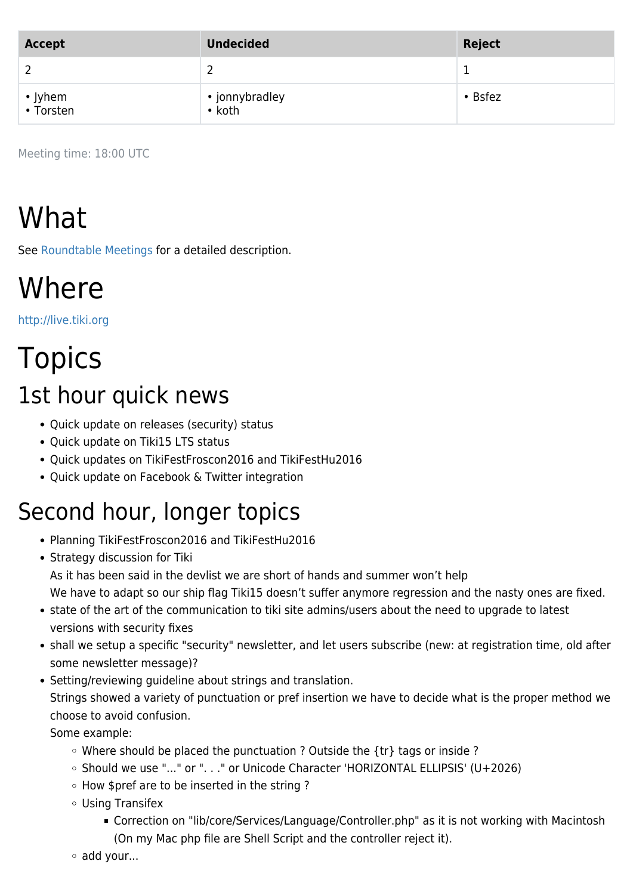| Accept               | <b>Undecided</b>         | Reject        |
|----------------------|--------------------------|---------------|
|                      |                          |               |
| • Jyhem<br>• Torsten | • jonnybradley<br>• koth | $\cdot$ Bsfez |

Meeting time: 18:00 UTC

# What

See [Roundtable Meetings](https://tiki.org/Roundtable-Meetings) for a detailed description.

### **Where**

<http://live.tiki.org>

# **Topics**

### 1st hour quick news

- Quick update on releases (security) status
- Quick update on Tiki15 LTS status
- Quick updates on TikiFestFroscon2016 and TikiFestHu2016
- Quick update on Facebook & Twitter integration

### Second hour, longer topics

- Planning TikiFestFroscon2016 and TikiFestHu2016
- Strategy discussion for Tiki As it has been said in the devlist we are short of hands and summer won't help We have to adapt so our ship flag Tiki15 doesn't suffer anymore regression and the nasty ones are fixed.
- state of the art of the communication to tiki site admins/users about the need to upgrade to latest versions with security fixes
- shall we setup a specific "security" newsletter, and let users subscribe (new: at registration time, old after some newsletter message)?
- Setting/reviewing guideline about strings and translation. Strings showed a variety of punctuation or pref insertion we have to decide what is the proper method we choose to avoid confusion.

Some example:

- $\circ$  Where should be placed the punctuation ? Outside the {tr} tags or inside ?
- Should we use "..." or ". . ." or Unicode Character 'HORIZONTAL ELLIPSIS' (U+2026)
- How \$pref are to be inserted in the string ?
- Using Transifex
	- Correction on "lib/core/Services/Language/Controller.php" as it is not working with Macintosh (On my Mac php file are Shell Script and the controller reject it).
- add your...